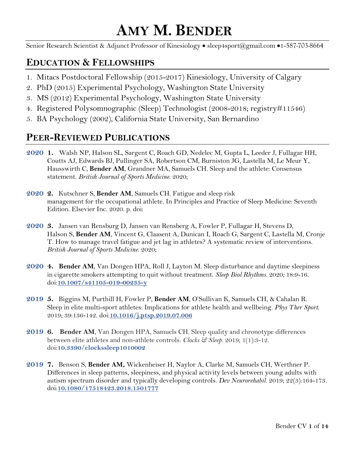# **AMY M. BENDER**

Senior Research Scientist & Adjunct Professor of Kinesiology • sleep4sport@gmail.com •1-587-703-8664

# **EDUCATION & FELLOWSHIPS**

- 1. Mitacs Postdoctoral Fellowship (2015-2017) Kinesiology, University of Calgary
- 2. PhD (2015) Experimental Psychology, Washington State University
- 3. MS (2012) Experimental Psychology, Washington State University
- 4. Registered Polysomnographic (Sleep) Technologist (2008-2018; registry#11546)
- 5. BA Psychology (2002), California State University, San Bernardino

# **PEER-REVIEWED PUBLICATIONS**

- **2020 1.** Walsh NP, Halson SL, Sargent C, Roach GD, Nedelec M, Gupta L, Leeder J, Fullagar HH, Coutts AJ, Edwards BJ, Pullinger SA, Robertson CM, Burniston JG, Lastella M, Le Meur Y, Hausswirth C, **Bender AM**, Grandner MA, Samuels CH. Sleep and the athlete: Consensus statement. *British Journal of Sports Medicine*. 2020;
- **2020 2.** Kutschner S, **Bender AM**, Samuels CH. Fatigue and sleep risk management for the occupational athlete. In Principles and Practice of Sleep Medicine: Seventh Edition. Elsevier Inc. 2020. p. doi:
- **2020 3.** Jansen van Rensburg D, Jansen van Rensberg A, Fowler P, Fullagar H, Stevens D, Halson S, **Bender AM**, Vincent G, Claasent A, Dunican I, Roach G, Sargent C, Lastella M, Cronje T. How to manage travel fatigue and jet lag in athletes? A systematic review of interventions. *British Journal of Sports Medicine.* 2020;
- **2020 4. Bender AM**, Van Dongen HPA, Roll J, Layton M. Sleep disturbance and daytime sleepiness in cigarette smokers attempting to quit without treatment. *Sleep Biol Rhythms.* 2020*;* 18:9-16. doi:**[10.1007/s41105-019-00235-y](https://doi.org/10.1007/s41105-019-00235-y)**
- **2019 5.** Biggins M, Purthill H, Fowler P, **Bender AM**, O'Sullivan K, Samuels CH, & Cahalan R. Sleep in elite multi-sport athletes: Implications for athlete health and wellbeing. *Phys Ther Sport*. 2019; 39:136-142. doi:**[10.1016/j.ptsp.2019.07.006](https://doi.org/10.1016/j.ptsp.2019.07.006)**
- **2019 6. Bender AM**, Van Dongen HPA, Samuels CH. Sleep quality and chronotype differences between elite athletes and non-athlete controls. *Clocks & Sleep*. 2019; 1(1):3-12. doi:**[10.3390/clockssleep1010002](https://doi.org/10.3390/clockssleep1010002)**
- **2019 7.** Benson S, **Bender AM,** Wickenheiser H, Naylor A, Clarke M, Samuels CH, Werthner P. Differences in sleep patterns, sleepiness, and physical activity levels between young adults with autism spectrum disorder and typically developing controls. *Dev Neurorehabil.* 2019; 22(3):164-173. doi:**[10.1080/17518423.2018.1501777](https://www.tandfonline.com/doi/abs/10.1080/17518423.2018.1501777)**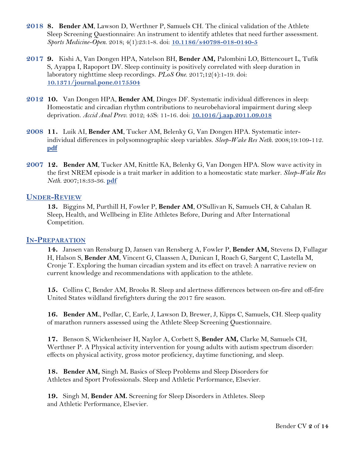- **2018 8. Bender AM**, Lawson D, Werthner P, Samuels CH. The clinical validation of the Athlete Sleep Screening Questionnaire: An instrument to identify athletes that need further assessment. *Sports Medicine-Open*. 2018; 4(1):23:1-8. doi: **[10.1186/s40798-018-0140-5](https://sportsmedicine-open.springeropen.com/articles/10.1186/s40798-018-0140-5)**
- **2017 9.** Kishi A, Van Dongen HPA, Natelson BH, **Bender AM,** Palombini LO, Bittencourt L, Tufik S, Ayappa I, Rapoport DV. Sleep continuity is positively correlated with sleep duration in laboratory nighttime sleep recordings. *PLoS One*. 2017;12(4):1-19. doi: **[10.1371/journal.pone.0175504](https://journals.plos.org/plosone/article?id=10.1371/journal.pone.0175504)**
- **2012 10.** Van Dongen HPA, **Bender AM**, Dinges DF. Systematic individual differences in sleep: Homeostatic and circadian rhythm contributions to neurobehavioral impairment during sleep deprivation. *Accid Anal Prev*. 2012; 45S: 11-16. doi: **[10.1016/j.aap.2011.09.018](https://www.ncbi.nlm.nih.gov/pubmed/22239924)**
- **2008 11.** Luik AI, **Bender AM**, Tucker AM, Belenky G, Van Dongen HPA. Systematic interindividual differences in polysomnographic sleep variables. *Sleep-Wake Res Neth.* 2008;19:109-112. **[pdf](https://labs.wsu.edu/sprc/documents/2016/11/2008SWR-Luik-etal1.pdf/)**
- **2007 12. Bender AM**, Tucker AM, Knittle KA, Belenky G, Van Dongen HPA. Slow wave activity in the first NREM episode is a trait marker in addition to a homeostatic state marker. *Sleep-Wake Res Neth.* 2007;18:33-36. **[pdf](https://labs.wsu.edu/sprc/documents/2016/11/2007SWR-Bender-etal.pdf/)**

#### **UNDER-REVIEW**

**13.** Biggins M, Purthill H, Fowler P, **Bender AM**, O'Sullivan K, Samuels CH, & Cahalan R. Sleep, Health, and Wellbeing in Elite Athletes Before, During and After International Competition.

#### **IN-PREPARATION**

**14.** Jansen van Rensburg D, Jansen van Rensberg A, Fowler P, **Bender AM,** Stevens D, Fullagar H, Halson S, **Bender AM**, Vincent G, Claassen A, Dunican I, Roach G, Sargent C, Lastella M, Cronje T. Exploring the human circadian system and its effect on travel: A narrative review on current knowledge and recommendations with application to the athlete.

**15.** Collins C, Bender AM, Brooks R. Sleep and alertness differences between on-fire and off-fire United States wildland firefighters during the 2017 fire season.

**16. Bender AM., Pedlar, C, Earle, J, Lawson D, Brewer, J, Kipps C, Samuels, CH. Sleep quality** of marathon runners assessed using the Athlete Sleep Screening Questionnaire.

**17.** Benson S, Wickenheiser H, Naylor A, Corbett S, **Bender AM,** Clarke M, Samuels CH, Werthner P. A Physical activity intervention for young adults with autism spectrum disorder: effects on physical activity, gross motor proficiency, daytime functioning, and sleep.

 **18. Bender AM,** Singh M**.** Basics of Sleep Problems and Sleep Disorders for Athletes and Sport Professionals. Sleep and Athletic Performance, Elsevier.

**19.** Singh M, **Bender AM.** Screening for Sleep Disorders in Athletes. Sleep and Athletic Performance, Elsevier.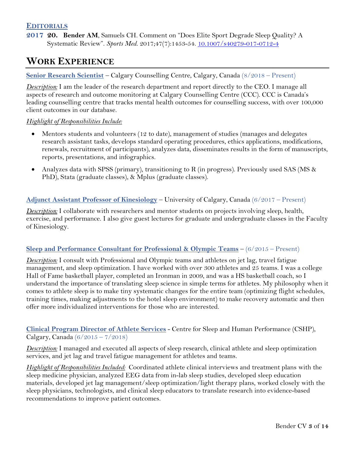#### **EDITORIALS**

**2017 20. Bender AM**, Samuels CH. Comment on "Does Elite Sport Degrade Sleep Quality? A Systematic Review". *Sports Med*. 2017;47(7):1453-54. [10.1007/s40279-017-0712-4](https://www.ncbi.nlm.nih.gov/pubmed/28283995)

### **WORK EXPERIENCE**

#### **Senior Research Scientist** – Calgary Counselling Centre, Calgary, Canada (8/2018 – Present)

*Description:* I am the leader of the research department and report directly to the CEO. I manage all aspects of research and outcome monitoring at Calgary Counselling Centre (CCC). CCC is Canada's leading counselling centre that tracks mental health outcomes for counselling success, with over 100,000 client outcomes in our database.

#### *Highlight of Responsibilities Include:*

- Mentors students and volunteers (12 to date), management of studies (manages and delegates research assistant tasks, develops standard operating procedures, ethics applications, modifications, renewals, recruitment of participants), analyzes data, disseminates results in the form of manuscripts, reports, presentations, and infographics.
- Analyzes data with SPSS (primary), transitioning to R (in progress). Previously used SAS (MS & PhD), Stata (graduate classes), & Mplus (graduate classes).

#### **Adjunct Assistant Professor of Kinesiology** – University of Calgary, Canada (6/2017 – Present)

*Description:* I collaborate with researchers and mentor students on projects involving sleep, health, exercise, and performance. I also give guest lectures for graduate and undergraduate classes in the Faculty of Kinesiology.

#### **Sleep and Performance Consultant for Professional & Olympic Teams** – (6/2015 – Present)

*Description:* I consult with Professional and Olympic teams and athletes on jet lag, travel fatigue management, and sleep optimization. I have worked with over 300 athletes and 25 teams. I was a college Hall of Fame basketball player, completed an Ironman in 2009, and was a HS basketball coach, so I understand the importance of translating sleep science in simple terms for athletes. My philosophy when it comes to athlete sleep is to make tiny systematic changes for the entire team (optimizing flight schedules, training times, making adjustments to the hotel sleep environment) to make recovery automatic and then offer more individualized interventions for those who are interested.

**Clinical Program Director of Athlete Services** - Centre for Sleep and Human Performance (CSHP), Calgary, Canada  $(6/2015 - 7/2018)$ 

*Description:* I managed and executed all aspects of sleep research, clinical athlete and sleep optimization services, and jet lag and travel fatigue management for athletes and teams.

*Highlight of Responsibilities Included:* Coordinated athlete clinical interviews and treatment plans with the sleep medicine physician, analyzed EEG data from in-lab sleep studies, developed sleep education materials, developed jet lag management/sleep optimization/light therapy plans, worked closely with the sleep physicians, technologists, and clinical sleep educators to translate research into evidence-based recommendations to improve patient outcomes.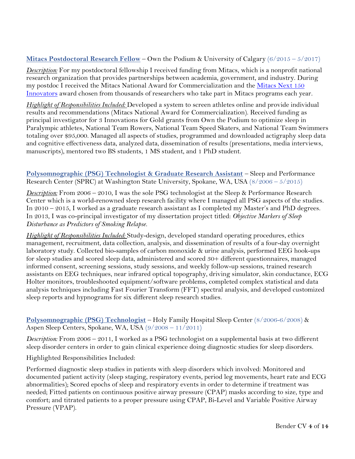#### **Mitacs Postdoctoral Research Fellow** – Own the Podium & University of Calgary (6/2015 – 5/2017)

*Description:* For my postdoctoral fellowship I received funding from Mitacs, which is a nonprofit national research organization that provides partnerships between academia, government, and industry. During my postdoc I received the Mitacs National Award for Commercialization and the Mitacs Next 150 [Innovators](https://www.mitacs.ca/en/150-for-150) award chosen from thousands of researchers who take part in Mitacs programs each year.

*Highlight of Responsibilities Included:* Developed a system to screen athletes online and provide individual results and recommendations (Mitacs National Award for Commercialization). Received funding as principal investigator for 3 Innovations for Gold grants from Own the Podium to optimize sleep in Paralympic athletes, National Team Rowers, National Team Speed Skaters, and National Team Swimmers totaling over \$95,000. Managed all aspects of studies, programmed and downloaded actigraphy sleep data and cognitive effectiveness data, analyzed data, dissemination of results (presentations, media interviews, manuscripts), mentored two BS students, 1 MS student, and 1 PhD student.

#### **Polysomnographic (PSG) Technologist & Graduate Research Assistant** – Sleep and Performance Research Center (SPRC) at Washington State University, Spokane, WA, USA (8/2006 – 5/2015)

*Description:* From 2006 – 2010, I was the sole PSG technologist at the Sleep & Performance Research Center which is a world-renowned sleep research facility where I managed all PSG aspects of the studies. In 2010 – 2015, I worked as a graduate research assistant as I completed my Master's and PhD degrees. In 2013, I was co-principal investigator of my dissertation project titled: *Objective Markers of Sleep Disturbance as Predictors of Smoking Relapse.*

*Highlight of Responsibilities Included:* Study-design, developed standard operating procedures, ethics management, recruitment, data collection, analysis, and dissemination of results of a four-day overnight laboratory study. Collected bio-samples of carbon monoxide & urine analysis, performed EEG hook-ups for sleep studies and scored sleep data, administered and scored 30+ different questionnaires, managed informed consent, screening sessions, study sessions, and weekly follow-up sessions, trained research assistants on EEG techniques, near infrared optical topography, driving simulator, skin conductance, ECG Holter monitors, troubleshooted equipment/software problems, completed complex statistical and data analysis techniques including Fast Fourier Transform (FFT) spectral analysis, and developed customized sleep reports and hypnograms for six different sleep research studies.

#### **Polysomnographic (PSG) Technologist** – Holy Family Hospital Sleep Center (8/2006-6/2008) & Aspen Sleep Centers, Spokane, WA, USA (9/2008 – 11/2011)

*Description:* From 2006 – 2011, I worked as a PSG technologist on a supplemental basis at two different sleep disorder centers in order to gain clinical experience doing diagnostic studies for sleep disorders.

Highlighted Responsibilities Included:

Performed diagnostic sleep studies in patients with sleep disorders which involved: Monitored and documented patient activity (sleep staging, respiratory events, period leg movements, heart rate and ECG abnormalities); Scored epochs of sleep and respiratory events in order to determine if treatment was needed; Fitted patients on continuous positive airway pressure (CPAP) masks according to size, type and comfort; and titrated patients to a proper pressure using CPAP, Bi-Level and Variable Positive Airway Pressure (VPAP).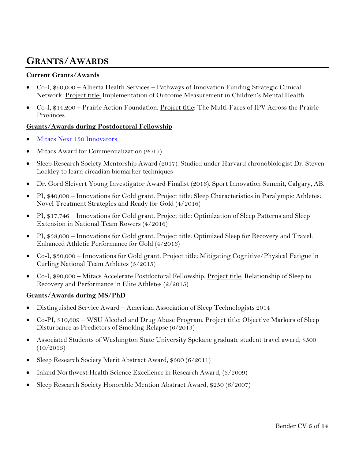# **GRANTS/AWARDS**

#### **Current Grants/Awards**

- Co-I, \$50,000 Alberta Health Services Pathways of Innovation Funding Strategic Clinical Network. Project title: Implementation of Outcome Measurement in Children's Mental Health
- Co-I, \$14,200 Prairie Action Foundation. Project title: The Multi-Faces of IPV Across the Prairie Provinces

#### **Grants/Awards during Postdoctoral Fellowship**

- [Mitacs Next 150 Innovators](https://www.mitacs.ca/en/150-for-150)
- Mitacs Award for Commercialization (2017)
- Sleep Research Society Mentorship Award (2017). Studied under Harvard chronobiologist Dr. Steven Lockley to learn circadian biomarker techniques
- Dr. Gord Sleivert Young Investigator Award Finalist (2016). Sport Innovation Summit, Calgary, AB.
- PI, \$40,000 Innovations for Gold grant. Project title: Sleep Characteristics in Paralympic Athletes: Novel Treatment Strategies and Ready for Gold (4/2016)
- PI, \$17,746 Innovations for Gold grant. Project title: Optimization of Sleep Patterns and Sleep Extension in National Team Rowers (4/2016)
- PI, \$38,000 Innovations for Gold grant. Project title: Optimized Sleep for Recovery and Travel: Enhanced Athletic Performance for Gold (4/2016)
- Co-I, \$30,000 Innovations for Gold grant. Project title: Mitigating Cognitive/Physical Fatigue in Curling National Team Athletes (5/2015)
- Co-I, \$90,000 Mitacs Accelerate Postdoctoral Fellowship. Project title: Relationship of Sleep to Recovery and Performance in Elite Athletes (2/2015)

#### **Grants/Awards during MS/PhD**

- Distinguished Service Award American Association of Sleep Technologists 2014
- Co-PI, \$10,609 WSU Alcohol and Drug Abuse Program. Project title: Objective Markers of Sleep Disturbance as Predictors of Smoking Relapse (6/2013)
- Associated Students of Washington State University Spokane graduate student travel award, \$500  $(10/2013)$
- Sleep Research Society Merit Abstract Award, \$500 (6/2011)
- Inland Northwest Health Science Excellence in Research Award, (3/2009)
- Sleep Research Society Honorable Mention Abstract Award, \$250 (6/2007)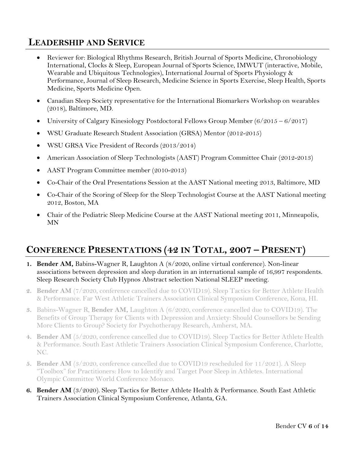# **LEADERSHIP AND SERVICE**

- Reviewer for: Biological Rhythms Research, British Journal of Sports Medicine, Chronobiology International, Clocks & Sleep, European Journal of Sports Science, IMWUT (interactive, Mobile, Wearable and Ubiquitous Technologies), International Journal of Sports Physiology & Performance, Journal of Sleep Research, Medicine Science in Sports Exercise, Sleep Health, Sports Medicine, Sports Medicine Open.
- Canadian Sleep Society representative for the International Biomarkers Workshop on wearables (2018), Baltimore, MD.
- University of Calgary Kinesiology Postdoctoral Fellows Group Member (6/2015 6/2017)
- WSU Graduate Research Student Association (GRSA) Mentor (2012-2015)
- WSU GRSA Vice President of Records (2013/2014)
- American Association of Sleep Technologists (AAST) Program Committee Chair (2012-2013)
- AAST Program Committee member (2010-2013)
- Co-Chair of the Oral Presentations Session at the AAST National meeting 2013, Baltimore, MD
- Co-Chair of the Scoring of Sleep for the Sleep Technologist Course at the AAST National meeting 2012, Boston, MA
- Chair of the Pediatric Sleep Medicine Course at the AAST National meeting 2011, Minneapolis, MN

# **CONFERENCE PRESENTATIONS (42 IN TOTAL, 2007 – PRESENT)**

- **1. Bender AM,** Babins-Wagner R, Laughton A (8/2020, online virtual conference). Non-linear associations between depression and sleep duration in an international sample of 16,997 respondents. Sleep Research Society Club Hypnos Abstract selection National SLEEP meeting.
- **2. Bender AM** (7/2020, conference cancelled due to COVID19). Sleep Tactics for Better Athlete Health & Performance. Far West Athletic Trainers Association Clinical Symposium Conference, Kona, HI.
- **3.** Babins-Wagner R, **Bender AM,** Laughton A (6/2020, conference cancelled due to COVID19). The Benefits of Group Therapy for Clients with Depression and Anxiety: Should Counsellors be Sending More Clients to Group? Society for Psychotherapy Research, Amherst, MA.
- **4. Bender AM** (5/2020, conference cancelled due to COVID19). Sleep Tactics for Better Athlete Health & Performance. South East Athletic Trainers Association Clinical Symposium Conference, Charlotte, NC.
- **5. Bender AM** (3/2020, conference cancelled due to COVID19 rescheduled for 11/2021). A Sleep "Toolbox" for Practitioners: How to Identify and Target Poor Sleep in Athletes. International Olympic Committee World Conference Monaco.
- **6. Bender AM** (3/2020). Sleep Tactics for Better Athlete Health & Performance. South East Athletic Trainers Association Clinical Symposium Conference, Atlanta, GA.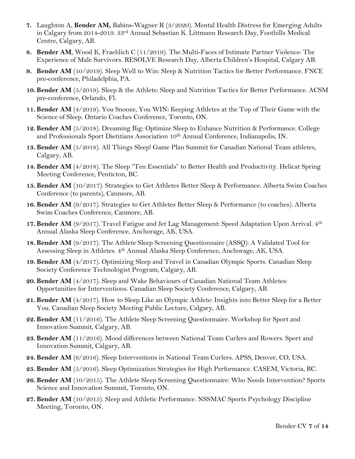- **7.** Laughton A, **Bender AM,** Babins-Wagner R (3/2020). Mental Health Distress for Emerging Adults in Calgary from 2014-2019. 33rd Annual Sebastian K. Littmann Research Day, Foothills Medical Centre, Calgary, AB.
- **8. Bender AM**, Wood K, Fraehlich C (11/2019). The Multi-Faces of Intimate Partner Violence: The Experience of Male Survivors. RESOLVE Research Day, Alberta Children's Hospital, Calgary AB.
- **9. Bender AM** (10/2019). Sleep Well to Win: Sleep & Nutrition Tactics for Better Performance. FNCE pre-conference, Philadelphia, PA.
- **10. Bender AM** (5/2019). Sleep & the Athlete: Sleep and Nutrition Tactics for Better Performance. ACSM pre-conference, Orlando, Fl.
- **11. Bender AM** (4/2019). You Snooze, You WIN: Keeping Athletes at the Top of Their Game with the Science of Sleep. Ontario Coaches Conference, Toronto, ON.
- **12. Bender AM** (5/2018). Dreaming Big: Optimize Sleep to Enhance Nutrition & Performance. College and Professionals Sport Dietitians Association 10th Annual Conference, Indianapolis, IN.
- **13. Bender AM** (5/2018). All Things Sleep! Game Plan Summit for Canadian National Team athletes, Calgary, AB.
- **14. Bender AM** (4/2018). The Sleep "Ten Essentials" to Better Health and Productivity. Helicat Spring Meeting Conference, Penticton, BC.
- **15. Bender AM** (10/2017). Strategies to Get Athletes Better Sleep & Performance. Alberta Swim Coaches Conference (to parents), Canmore, AB.
- **16. Bender AM** (9/2017). Strategies to Get Athletes Better Sleep & Performance (to coaches). Alberta Swim Coaches Conference, Canmore, AB.
- **17. Bender AM** (9/2017). Travel Fatigue and Jet Lag Management: Speed Adaptation Upon Arrival. 4th Annual Alaska Sleep Conference, Anchorage, AK, USA.
- **18. Bender AM** (9/2017). The Athlete Sleep Screening Questionnaire (ASSQ): A Validated Tool for Assessing Sleep in Athletes. 4th Annual Alaska Sleep Conference, Anchorage, AK, USA.
- **19. Bender AM** (4/2017). Optimizing Sleep and Travel in Canadian Olympic Sports. Canadian Sleep Society Conference Technologist Program, Calgary, AB.
- **20. Bender AM** (4/2017). Sleep and Wake Behaviours of Canadian National Team Athletes: Opportunities for Interventions. Canadian Sleep Society Conference, Calgary, AB.
- **21. Bender AM** (4/2017). How to Sleep Like an Olympic Athlete: Insights into Better Sleep for a Better You. Canadian Sleep Society Meeting Public Lecture, Calgary, AB.
- **22. Bender AM** (11/2016). The Athlete Sleep Screening Questionnaire. Workshop for Sport and Innovation Summit, Calgary, AB.
- **23. Bender AM** (11/2016). Mood differences between National Team Curlers and Rowers. Sport and Innovation Summit, Calgary, AB.
- **24. Bender AM** (6/2016). Sleep Interventions in National Team Curlers. APSS, Denver, CO, USA.
- **25. Bender AM** (5/2016). Sleep Optimization Strategies for High Performance. CASEM, Victoria, BC.
- **26. Bender AM** (10/2015). The Athlete Sleep Screening Questionnaire: Who Needs Intervention? Sports Science and Innovation Summit, Toronto, ON.
- **27. Bender AM** (10/2015). Sleep and Athletic Performance. NSSMAC Sports Psychology Discipline Meeting, Toronto, ON.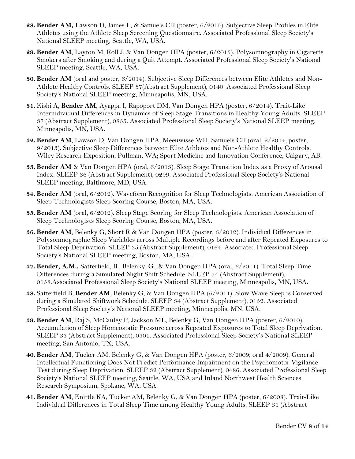- **28. Bender AM,** Lawson D, James L, & Samuels CH (poster, 6/2015). Subjective Sleep Profiles in Elite Athletes using the Athlete Sleep Screening Questionnaire. Associated Professional Sleep Society's National SLEEP meeting, Seattle, WA, USA.
- **29. Bender AM**, Layton M, Roll J, & Van Dongen HPA (poster, 6/2015). Polysomnography in Cigarette Smokers after Smoking and during a Quit Attempt. Associated Professional Sleep Society's National SLEEP meeting, Seattle, WA, USA.
- **30. Bender AM** (oral and poster, 6/2014). Subjective Sleep Differences between Elite Athletes and Non-Athlete Healthy Controls. SLEEP 37(Abstract Supplement), 0140. Associated Professional Sleep Society's National SLEEP meeting, Minneapolis, MN, USA.
- **31.** Kishi A, **Bender AM**, Ayappa I, Rapoport DM, Van Dongen HPA (poster, 6/2014). Trait-Like Interindividual Differences in Dynamics of Sleep Stage Transitions in Healthy Young Adults. SLEEP 37 (Abstract Supplement), 0855. Associated Professional Sleep Society's National SLEEP meeting, Minneapolis, MN, USA.
- **32. Bender AM**, Lawson D, Van Dongen HPA, Meeuwisse WH, Samuels CH (oral, 2/2014; poster, 9/2013). Subjective Sleep Differences between Elite Athletes and Non-Athlete Healthy Controls. Wiley Research Exposition, Pullman, WA; Sport Medicine and Innovation Conference, Calgary, AB.
- **33. Bender AM** & Van Dongen HPA (oral, 6/2013). Sleep Stage Transition Index as a Proxy of Arousal Index. SLEEP 36 (Abstract Supplement), 0299. Associated Professional Sleep Society's National SLEEP meeting, Baltimore, MD, USA.
- **34. Bender AM** (oral, 6/2012). Waveform Recognition for Sleep Technologists. American Association of Sleep Technologists Sleep Scoring Course, Boston, MA, USA.
- **35. Bender AM** (oral, 6/2012). Sleep Stage Scoring for Sleep Technologists. American Association of Sleep Technologists Sleep Scoring Course, Boston, MA, USA.
- **36. Bender AM**, Belenky G, Short R & Van Dongen HPA (poster, 6/2012). Individual Differences in Polysomnographic Sleep Variables across Multiple Recordings before and after Repeated Exposures to Total Sleep Deprivation. SLEEP 35 (Abstract Supplement), 0164. Associated Professional Sleep Society's National SLEEP meeting, Boston, MA, USA.
- **37. Bender, A.M.,** Satterfield, B., Belenky, G., & Van Dongen HPA (oral, 6/2011). Total Sleep Time Differences during a Simulated Night Shift Schedule. SLEEP 34 (Abstract Supplement), 0158.Associated Professional Sleep Society's National SLEEP meeting, Minneapolis, MN, USA.
- **38.** Satterfield B, **Bender AM**, Belenky G, & Van Dongen HPA (6/2011). Slow Wave Sleep is Conserved during a Simulated Shiftwork Schedule. SLEEP 34 (Abstract Supplement), 0152. Associated Professional Sleep Society's National SLEEP meeting, Minneapolis, MN, USA.
- **39. Bender AM**, Raj S, McCauley P, Jackson ML, Belenky G, Van Dongen HPA (poster, 6/2010). Accumulation of Sleep Homeostatic Pressure across Repeated Exposures to Total Sleep Deprivation. SLEEP 33 (Abstract Supplement), 0301. Associated Professional Sleep Society's National SLEEP meeting, San Antonio, TX, USA.
- **40. Bender AM**, Tucker AM, Belenky G, & Van Dongen HPA (poster, 6/2009; oral 4/2009). General Intellectual Functioning Does Not Predict Performance Impairment on the Psychomotor Vigilance Test during Sleep Deprivation. SLEEP 32 (Abstract Supplement), 0486. Associated Professional Sleep Society's National SLEEP meeting, Seattle, WA, USA and Inland Northwest Health Sciences Research Symposium, Spokane, WA, USA.
- **41. Bender AM**, Knittle KA, Tucker AM, Belenky G, & Van Dongen HPA (poster, 6/2008). Trait-Like Individual Differences in Total Sleep Time among Healthy Young Adults. SLEEP 31 (Abstract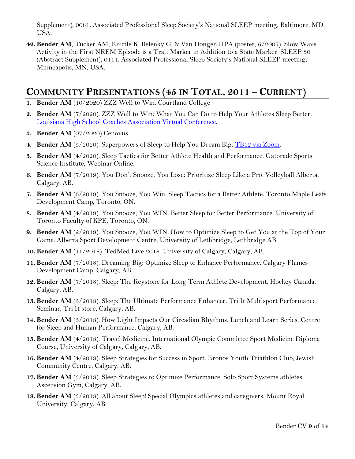Supplement), 0081. Associated Professional Sleep Society's National SLEEP meeting, Baltimore, MD, USA.

**42. Bender AM**, Tucker AM, Knittle K, Belenky G, & Van Dongen HPA (poster, 6/2007). Slow Wave Activity in the First NREM Episode is a Trait Marker in Addition to a State Marker. SLEEP 30 (Abstract Supplement), 0111. Associated Professional Sleep Society's National SLEEP meeting, Minneapolis, MN, USA.

# **COMMUNITY PRESENTATIONS (45 IN TOTAL, 2011 – CURRENT)**

- **1. Bender AM** (10/2020) ZZZ Well to Win. Courtland College
- **2. Bender AM** (7/2020). ZZZ Well to Win: What You Can Do to Help Your Athletes Sleep Better. [Louisiana High School Coaches Association Virtual Conference.](https://twitter.com/TheLHSCA/status/1271970629345042434)
- **3. Bender AM** (07/2020) Cenovus
- 4. **Bender AM** (5/2020). Superpowers of Sleep to Help You Dream Big. [TB12 via Zoom.](https://www.youtube.com/watch?v=YTiB18QEs50&t=1s)
- **5. Bender AM** (4/2020). Sleep Tactics for Better Athlete Health and Performance. Gatorade Sports Science Institute, Webinar Online.
- **6. Bender AM** (7/2019). You Don't Snooze, You Lose: Prioritize Sleep Like a Pro. Volleyball Alberta, Calgary, AB.
- **7. Bender AM** (6/2019). You Snooze, You Win: Sleep Tactics for a Better Athlete. Toronto Maple Leafs Development Camp, Toronto, ON.
- **8. Bender AM** (4/2019). You Snooze, You WIN: Better Sleep for Better Performance. University of Toronto Faculty of KPE, Toronto, ON.
- **9. Bender AM** (2/2019). You Snooze, You WIN: How to Optimize Sleep to Get You at the Top of Your Game. Alberta Sport Development Centre, University of Lethbridge, Lethbridge AB.
- **10. Bender AM** (11/2018). TedMed Live 2018. University of Calgary, Calgary, AB.
- **11. Bender AM** (7/2018). Dreaming Big: Optimize Sleep to Enhance Performance. Calgary Flames Development Camp, Calgary, AB.
- **12. Bender AM** (7/2018). Sleep: The Keystone for Long Term Athlete Development. Hockey Canada, Calgary, AB.
- **13. Bender AM** (5/2018). Sleep: The Ultimate Performance Enhancer. Tri It Multisport Performance Seminar, Tri It store, Calgary, AB.
- **14. Bender AM** (5/2018). How Light Impacts Our Circadian Rhythms. Lunch and Learn Series, Centre for Sleep and Human Performance, Calgary, AB.
- **15. Bender AM** (4/2018). Travel Medicine. International Olympic Committee Sport Medicine Diploma Course, University of Calgary, Calgary, AB.
- **16. Bender AM** (4/2018). Sleep Strategies for Success in Sport. Kronos Youth Triathlon Club, Jewish Community Centre, Calgary, AB.
- **17. Bender AM** (3/2018). Sleep Strategies to Optimize Performance. Solo Sport Systems athletes, Ascension Gym, Calgary, AB.
- **18. Bender AM** (3/2018). All about Sleep! Special Olympics athletes and caregivers, Mount Royal University, Calgary, AB.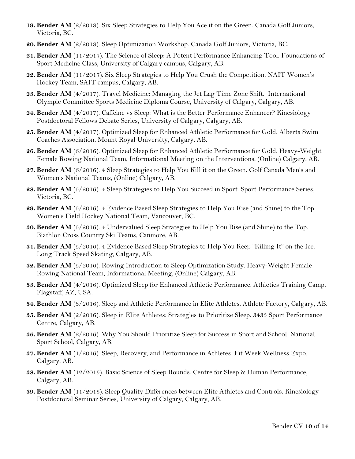- **19. Bender AM** (2/2018). Six Sleep Strategies to Help You Ace it on the Green. Canada Golf Juniors, Victoria, BC.
- **20. Bender AM** (2/2018). Sleep Optimization Workshop. Canada Golf Juniors, Victoria, BC.
- **21. Bender AM** (11/2017). The Science of Sleep: A Potent Performance Enhancing Tool. Foundations of Sport Medicine Class, University of Calgary campus, Calgary, AB.
- **22. Bender AM** (11/2017). Six Sleep Strategies to Help You Crush the Competition. NAIT Women's Hockey Team, SAIT campus, Calgary, AB.
- **23. Bender AM** (4/2017). Travel Medicine: Managing the Jet Lag Time Zone Shift. International Olympic Committee Sports Medicine Diploma Course, University of Calgary, Calgary, AB.
- **24. Bender AM** (4/2017). Caffeine vs Sleep: What is the Better Performance Enhancer? Kinesiology Postdoctoral Fellows Debate Series, University of Calgary, Calgary, AB.
- **25. Bender AM** (4/2017). Optimized Sleep for Enhanced Athletic Performance for Gold. Alberta Swim Coaches Association, Mount Royal University, Calgary, AB.
- **26. Bender AM** (6/2016). Optimized Sleep for Enhanced Athletic Performance for Gold. Heavy-Weight Female Rowing National Team, Informational Meeting on the Interventions, (Online) Calgary, AB.
- **27. Bender AM** (6/2016). 4 Sleep Strategies to Help You Kill it on the Green. Golf Canada Men's and Women's National Teams, (Online) Calgary, AB.
- **28. Bender AM** (5/2016). 4 Sleep Strategies to Help You Succeed in Sport. Sport Performance Series, Victoria, BC.
- **29. Bender AM** (5/2016). 4 Evidence Based Sleep Strategies to Help You Rise (and Shine) to the Top. Women's Field Hockey National Team, Vancouver, BC.
- **30. Bender AM** (5/2016). 4 Undervalued Sleep Strategies to Help You Rise (and Shine) to the Top. Biathlon Cross Country Ski Teams, Canmore, AB.
- **31. Bender AM** (5/2016). 4 Evidence Based Sleep Strategies to Help You Keep "Killing It" on the Ice. Long Track Speed Skating, Calgary, AB.
- **32. Bender AM** (5/2016). Rowing Introduction to Sleep Optimization Study. Heavy-Weight Female Rowing National Team, Informational Meeting, (Online) Calgary, AB.
- **33. Bender AM** (4/2016). Optimized Sleep for Enhanced Athletic Performance. Athletics Training Camp, Flagstaff, AZ, USA.
- **34. Bender AM** (3/2016). Sleep and Athletic Performance in Elite Athletes. Athlete Factory, Calgary, AB.
- **35. Bender AM** (2/2016). Sleep in Elite Athletes: Strategies to Prioritize Sleep. 3433 Sport Performance Centre, Calgary, AB.
- **36. Bender AM** (2/2016). Why You Should Prioritize Sleep for Success in Sport and School. National Sport School, Calgary, AB.
- **37. Bender AM** (1/2016). Sleep, Recovery, and Performance in Athletes. Fit Week Wellness Expo, Calgary, AB.
- **38. Bender AM** (12/2015). Basic Science of Sleep Rounds. Centre for Sleep & Human Performance, Calgary, AB.
- **39. Bender AM** (11/2015). Sleep Quality Differences between Elite Athletes and Controls. Kinesiology Postdoctoral Seminar Series, University of Calgary, Calgary, AB.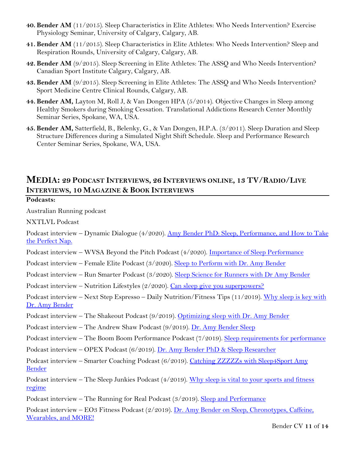- **40. Bender AM** (11/2015). Sleep Characteristics in Elite Athletes: Who Needs Intervention? Exercise Physiology Seminar, University of Calgary, Calgary, AB.
- **41. Bender AM** (11/2015). Sleep Characteristics in Elite Athletes: Who Needs Intervention? Sleep and Respiration Rounds, University of Calgary, Calgary, AB.
- **42. Bender AM** (9/2015). Sleep Screening in Elite Athletes: The ASSQ and Who Needs Intervention? Canadian Sport Institute Calgary, Calgary, AB.
- **43. Bender AM** (9/2015). Sleep Screening in Elite Athletes: The ASSQ and Who Needs Intervention? Sport Medicine Centre Clinical Rounds, Calgary, AB.
- **44. Bender AM,** Layton M, Roll J, & Van Dongen HPA (5/2014). Objective Changes in Sleep among Healthy Smokers during Smoking Cessation. Translational Addictions Research Center Monthly Seminar Series, Spokane, WA, USA.
- **45. Bender AM,** Satterfield, B., Belenky, G., & Van Dongen, H.P.A. (3/2011). Sleep Duration and Sleep Structure Differences during a Simulated Night Shift Schedule. Sleep and Performance Research Center Seminar Series, Spokane, WA, USA.

### **MEDIA: 29 PODCAST INTERVIEWS, 26 INTERVIEWS ONLINE, 13 TV/RADIO/LIVE INTERVIEWS, 10 MAGAZINE & BOOK INTERVIEWS**

#### **Podcasts:**

Australian Running podcast

NXTLVL Podcast

Podcast interview – Dynamic Dialogue (4/2020). [Amy Bender PhD: Sleep, Performance, and How to Take](https://podcasts.apple.com/us/podcast/15-amy-bender-phd-sleep-performance-how-to-take-perfect/id1502403282?i=1000471107341)  [the Perfect Nap.](https://podcasts.apple.com/us/podcast/15-amy-bender-phd-sleep-performance-how-to-take-perfect/id1502403282?i=1000471107341)

Podcast interview – WVSA Beyond the Pitch Podcast (4/2020). [Importance of Sleep Performance](https://www.youtube.com/watch?v=i7mmYgWdHbg&feature=youtu.be)

Podcast interview – Female Elite Podcast (3/2020). [Sleep to Perform with Dr. Amy Bender](https://www.podparadise.com/Podcast/1502634690/Listen/1585648800/0)

Podcast interview – Run Smarter Podcast (3/2020). [Sleep Science for Runners with Dr Amy Bender](https://podcasts.apple.com/au/podcast/sleep-science-for-runners-with-dr-amy-bender/id1494778818?i=1000468912150)

Podcast interview – Nutrition Lifestyles (2/2020). [Can sleep give you superpowers?](https://podbay.fm/podcast/1479479889/e/1583839980)

Podcast interview – Next Step Espresso – Daily Nutrition/Fitness Tips (11/2019). [Why sleep is key with](https://www.listennotes.com/podcasts/next-step-espresso/flat-white-ep-25-why-sleep-Z_4WEHIMzoG/)  [Dr. Amy Bender](https://www.listennotes.com/podcasts/next-step-espresso/flat-white-ep-25-why-sleep-Z_4WEHIMzoG/)

Podcast interview – The Shakeout Podcast (9/2019). [Optimizing sleep with Dr. Amy Bender](https://runningmagazine.ca/shakeout-podcast/the-shakeout-podcast-optimizing-sleep-with-dr-amy-bender/)

Podcast interview – The Andrew Shaw Podcast (9/2019). [Dr. Amy Bender Sleep](https://open.spotify.com/episode/0IUauauayn6CDQeWuOIiJd)

Podcast interview – The Boom Boom Performance Podcast (7/2019). [Sleep requirements for performance](https://www.stitcher.com/podcast/mindvsmuscle/mind-vs-muscle/e/62765071?autoplay=true)

Podcast interview – OPEX Podcast (6/2019). [Dr. Amy Bender PhD & Sleep Researcher](https://opexfit.com/podcasts/dr-amy-bender-phd-sleep-researcher/)

Podcast interview – Smarter Coaching Podcast (6/2019). Catching ZZZZZs with Sleep4Sport Amy [Bender](http://www.smartercoachingllc.com/smartercoachingllcpodcast/2019/6/25/episode-029-catching-zzzzzs-with-sleep4sport-amy-bender)

Podcast interview – The Sleep Junkies Podcast (4/2019). Why sleep is vital to your sports and fitness [regime](https://sleepjunkies.com/exercise-fitness-sports-performance/?utm_source=feedburner&utm_medium=twitter&utm_campaign=Feed%3A+SleepJunkies+%28Sleep+Junkies%29)

Podcast interview – The Running for Real Podcast (3/2019). [Sleep and Performance](http://runningforreal.libsyn.com/amy-bender-better-sleep-means-better-performance-r4r-107?tdest_id=503351)

Podcast interview – EO3 Fitness Podcast (2/2019). Dr. Amy Bender on Sleep, Chronotypes, Caffeine, [Wearables, and MORE!](https://www.endofthreefitness.com/amy-bender/?fbclid=IwAR2RTQv5FnG9KzVj3kAP_0q6TaG6gjSZnFYLtCjiDpiPKLcC36zTelEz0L4)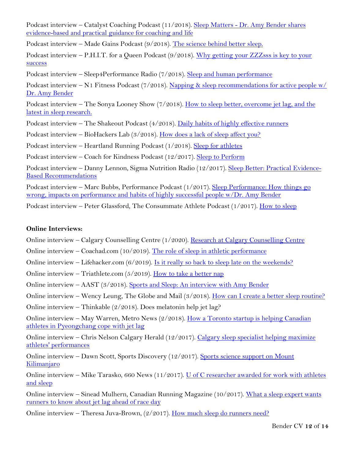Podcast interview - Catalyst Coaching Podcast (11/2018). Sleep Matters - Dr. Amy Bender shares [evidence-based and practical guidance for coaching and life](https://podcasts.apple.com/us/podcast/sleep-matters-dr-amy-bender-shares-evidence-based-practical/id1434101390?i=1000424793111)

Podcast interview – Made Gains Podcast (9/2018). [The science behind better sleep.](https://www.youtube.com/watch?v=OvYu5URnNw0)

Podcast interview – P.H.I.T. for a Queen Podcast  $(9/2018)$ . Why getting your ZZZsss is key to your [success](https://player.fm/series/phit-for-a-queen-a-female-athlete-podcast-2363276/dr-amy-bender-shares-why-getting-your-zzzsss-is-key-to-your-success-on-phit-for-a-queen-podcast)

Podcast interview – Sleep4Performance Radio (7/2018). [Sleep and human performance](https://sleep4performance.com.au/podcast/dr-amy-bender/)

Podcast interview – N<sub>1</sub> Fitness Podcast (7/2018). Napping & sleep recommendations for active people w/ [Dr. Amy Bender](http://n1fitness.libsyn.com/29-napping-sleep-habits-for-active-people-w-dr-amy-bender)

Podcast interview – The Sonya Looney Show (7/2018). How to sleep better, overcome jet lag, and the [latest in sleep research.](https://www.sonyalooney.com/how-to-sleep-better-overcome-jet-lag-and-the-latest-in-sleep-research-with-dr-amy-bender/)

Podcast interview – The Shakeout Podcast (4/2018). [Daily habits of highly effective runners](https://runningmagazine.ca/shakeout-podcast-daily-habits-highly-effective-runners/)

Podcast interview – BioHackers Lab (3/2018). [How does a lack of sleep affect you?](https://www.biohackerslab.com/ep43-dr-amy-bender/)

Podcast interview – Heartland Running Podcast (1/2018). [Sleep for athletes](http://hwcdn.libsyn.com/p/b/f/e/bfe94d229b6fafca/EP_55_Amy_Bender.mp3?c_id=18468413&cs_id=18468413&expiration=1528740393&hwt=5d197e464ec1ea129fb14370ce30df5a)

Podcast interview – Coach for Kindness Podcast (12/2017). [Sleep to Perform](https://itunes.apple.com/us/podcast/episode-12-dr-amy-bender-sleep-to-perform/id1278410201?i=1000397586883&mt=2)

Podcast interview – Danny Lennon, Sigma Nutrition Radio (12/2017). [Sleep Better: Practical Evidence-](http://sigmanutrition.com/episode209/)[Based Recommendations](http://sigmanutrition.com/episode209/)

Podcast interview – Marc Bubbs, Performance Podcast (1/2017). [Sleep Performance: How things go](https://drbubbs.com/podcastepisodes/2017/1/episode-4-sleep-performance-with-amy-bender)  [wrong, impacts on performance and habits of highly successful people w/Dr. Amy Bender](https://drbubbs.com/podcastepisodes/2017/1/episode-4-sleep-performance-with-amy-bender)

Podcast interview – Peter Glassford, The Consummate Athlete Podcast  $(1/2017)$ . [How to sleep](https://consummateathlete.wordpress.com/2017/01/02/how-to-sleep-dr-amy-bender/)

#### **Online Interviews:**

Online interview – Calgary Counselling Centre (1/2020). [Research at Calgary Counselling Centre](https://www.youtube.com/watch?v=gW471lGqRy4&feature=youtu.be)

Online interview – Coachad.com (10/2019). [The role of sleep in athletic performance](https://coachad.com/articles/the-role-of-sleep-in-athletic-performance/)

Online interview – Lifehacker.com  $(6/2019)$ . Is it really so [back to sleep late on the weekends?](https://vitals.lifehacker.com/is-it-really-so-bad-to-sleep-late-on-the-weekends-1835732204)

Online interview – Triathlete.com (5/2019). [How to take a better nap](https://www.triathlete.com/2019/05/training/build-better-nap_302857?utm_campaign=meetedgar&utm_medium=social&utm_source=meetedgar.com)

Online interview – AAST (3/2018). [Sports and Sleep: An interview with Amy Bender](https://www.aastweb.org/blog/primary-care-vs-sleep-specialist-0)

Online interview – Wency Leung, The Globe and Mail (3/2018). [How can I create a better sleep routine?](https://www.theglobeandmail.com/life/health-and-fitness/health/how-can-i-create-a-better-sleep-routine/article38280473/)

Online interview – Thinkable (2/2018). Does melatonin help jet lag?

Online interview – May Warren, Metro News (2/2018). How a Toronto startup is helping Canadian [athletes in Pyeongchang cope with jet lag](https://www.ourwindsor.ca/news-story/8121088-how-a-toronto-startup-is-helping-canadian-athletes-in-pyeongchang-cope-with-jet-lag/)

Online interview – Chris Nelson Calgary Herald (12/2017). Calgary sleep specialist helping maximize [athletes' performances](http://calgaryherald.com/news/local-news/calgary-sleep-specialist-helping-maximize-athletes-performances)

Online interview – Dawn Scott, Sports Discovery (12/2017). [Sports science support on Mount](http://sportsdiscovery.net/journal/2017/12/06/sports-science-support-mount-kilimanjaro-part-3/)  [Kilimanjaro](http://sportsdiscovery.net/journal/2017/12/06/sports-science-support-mount-kilimanjaro-part-3/)

Online interview – Mike Tarasko, 660 News (11/2017). U of C researcher awarded for work with athletes [and sleep](http://www.660news.com/2017/11/21/u-c-researcher-awarded-work-athletes-sleep/)

Online interview – Sinead Mulhern, Canadian Running Magazine (10/2017). [What a sleep expert wants](https://runningmagazine.ca/sleep-expert-wants-airport-bound-runners-know-jet-lag-ahead-race-day/)  [runners to know about jet lag ahead of race day](https://runningmagazine.ca/sleep-expert-wants-airport-bound-runners-know-jet-lag-ahead-race-day/)

Online interview – Theresa Juva-Brown, (2/2017). [How much sleep do runners need?](https://www.active.com/running/articles/how-much-sleep-do-runners-need?cmp=23-127)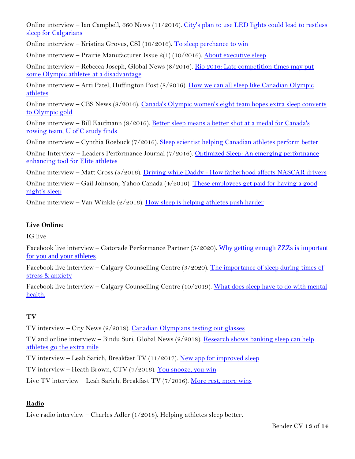Online interview – Ian Campbell, 660 News (11/2016). City's plan to use LED lights could lead to restless [sleep for Calgarians](http://www.660news.com/2016/11/03/citys-plan-use-led-lights-lead-restless-sleep-calgarians/)

Online interview – Kristina Groves, CSI (10/2016). [To sleep perchance to win](http://csicalgary.ca/category-fp-newletter-2016/453-to-sleep-perchance-to-win)

Online interview – Prairie Manufacturer Issue  $2(1)(10/2016)$ . [About executive sleep](https://issuu.com/prairiemanufacturer/docs/pm_issue2_volume1)

Online interview – Rebecca Joseph, Global News (8/2016). [Rio 2016: Late competition times may put](https://globalnews.ca/news/2875537/rio-2016-late-competition-times-may-put-some-olympic-athletes-at-a-disadvantage/)  [some Olympic athletes at a disadvantage](https://globalnews.ca/news/2875537/rio-2016-late-competition-times-may-put-some-olympic-athletes-at-a-disadvantage/)

Online interview – Arti Patel, Huffington Post (8/2016). [How we can all sleep like Canadian Olympic](https://www.huffingtonpost.ca/2016/08/09/olympic-athletes-sleeping-habits_n_11405364.html)  [athletes](https://www.huffingtonpost.ca/2016/08/09/olympic-athletes-sleeping-habits_n_11405364.html)

Online interview – CBS News (8/2016). [Canada's Olympic women's eight team hopes extra sleep converts](http://www.cbc.ca/news/canada/calgary/rio-olympics-womens-eight-rowing-sleep-study-1.3714220)  [to Olympic gold](http://www.cbc.ca/news/canada/calgary/rio-olympics-womens-eight-rowing-sleep-study-1.3714220)

Online interview – Bill Kaufmann (8/2016). [Better sleep means a better shot at a medal for Canada's](http://calgaryherald.com/news/local-news/better-sleep-means-a-better-shot-at-a-medal-for-canadas-rowing-team-uoc-study-finds?platform=hootsuite)  [rowing team, U of C study finds](http://calgaryherald.com/news/local-news/better-sleep-means-a-better-shot-at-a-medal-for-canadas-rowing-team-uoc-study-finds?platform=hootsuite)

Online interview – Cynthia Roebuck (7/2016). [Sleep scientist helping Canadian athletes perform better](https://calgary.ctvnews.ca/sleep-scientist-helping-canadian-athletes-perform-better-1.2997101#_gus&_gucid=&_gup=twitter&_gsc=gYgXxDl)

Online Interview – Leaders Performance Journal (7/2016). [Optimized Sleep: An emerging performance](https://leadersinsport.com/performance/optimized-sleep/)  [enhancing tool for Elite athletes](https://leadersinsport.com/performance/optimized-sleep/)

Online interview – Matt Cross (5/2016). Driving while Daddy - [How fatherhood affects NASCAR drivers](http://www.pavedtrackdigest.com/?p=4331)

Online interview – Gail Johnson, Yahoo Canada (4/2016). [These employees get paid for having a good](https://ca.finance.yahoo.com/blogs/insight/these-employees-get-paid-for-having-a-good-night-s-sleep-174439822.html)  [night's sleep](https://ca.finance.yahoo.com/blogs/insight/these-employees-get-paid-for-having-a-good-night-s-sleep-174439822.html)

Online interview – Van Winkle  $(2/2016)$ . [How sleep is helping athletes push harder](https://vanwinkles.com/how-sleep-is-helping-our-elite-athletes-push-harder)

#### **Live Online:**

IG live

Facebook live interview - Gatorade Performance Partner (5/2020). Why getting enough ZZZs is important [for you and your athletes](https://www.facebook.com/GPerformancePartner/videos/671829983598175).

Facebook live interview – Calgary Counselling Centre (3/2020). [The importance of sleep during times of](https://www.facebook.com/130101230371688/videos/209826227107844/)  [stress & anxiety](https://www.facebook.com/130101230371688/videos/209826227107844/)

Facebook live interview – Calgary Counselling Centre (10/2019). [What does sleep have to do with mental](https://www.facebook.com/calgarycounsellingcentre/videos/547131365857910/)  [health.](https://www.facebook.com/calgarycounsellingcentre/videos/547131365857910/)

#### **TV**

TV interview – City News (2/2018). [Canadian Olympians testing out glasses](http://toronto.citynews.ca/video/2018/02/08/canadian-olympians-testing-out-glasses-to-promote-sleep/)

TV and online interview – Bindu Suri, Global News (2/2018). [Research shows banking sleep can help](https://globalnews.ca/news/4004475/research-shows-banking-sleep-can-help-athletes-go-the-extra-mile/)  [athletes go the extra mile](https://globalnews.ca/news/4004475/research-shows-banking-sleep-can-help-athletes-go-the-extra-mile/)

TV interview – Leah Sarich, Breakfast TV (11/2017). [New app for improved sleep](http://www.btcalgary.ca/videos/new-app-for-improved-sleep/)

TV interview – Heath Brown, CTV (7/2016). [You snooze, you win](https://twitter.com/i/status/758027325317328898)

Live TV interview – Leah Sarich, Breakfast TV (7/2016). [More rest, more wins](http://www.btcalgary.ca/videos/5043326538001/?platform=hootsuite)

#### **Radio**

Live radio interview – Charles Adler (1/2018). Helping athletes sleep better.